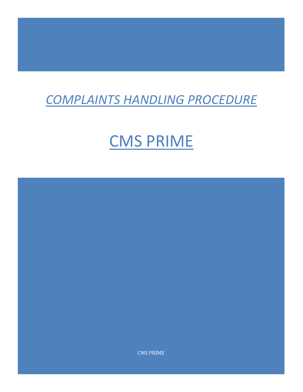## *COMPLAINTS HANDLING PROCEDURE*

## CMS PRIME

CMS PRIME